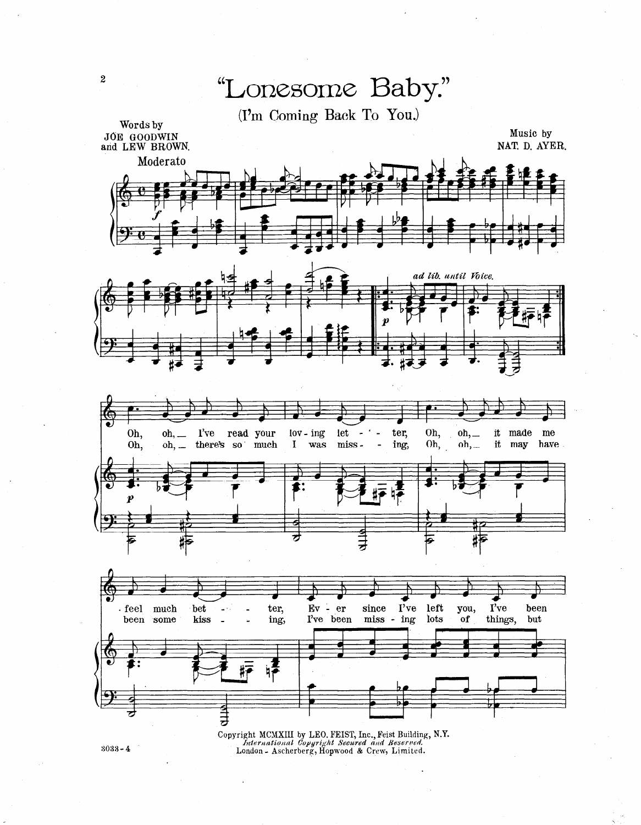

Music by JOE GOODWIN<br>and LEW BROWN. NAT. D. AYER. Moderato ad lib. until Voice.  $oh, \_$ Oh, Oh, **T**ve read your  $lov - ing$ let ter, it made me  $oh,$   $\_\_$  $\overline{a}$  $\blacksquare$  $Oh,$ it may have Oh, oh, \_ there's so much I was miss- $\overline{a}$ ing,  $oh, \_$ 7 I've ter, bet  $Ev - er$ since  $I've$ left been . feel much you, things, I've been lots  $of$ but been some kiss ing, miss - ing



Copyright MCMXIII by LEO. FEIST, Inc., Feist Building, N.Y.<br>International Copyright Secured and Reserved.<br>London - Ascherberg, Hopwood & Crew, Limited.

 $3033 - 4$ 

 $\overline{2}$ 

Words by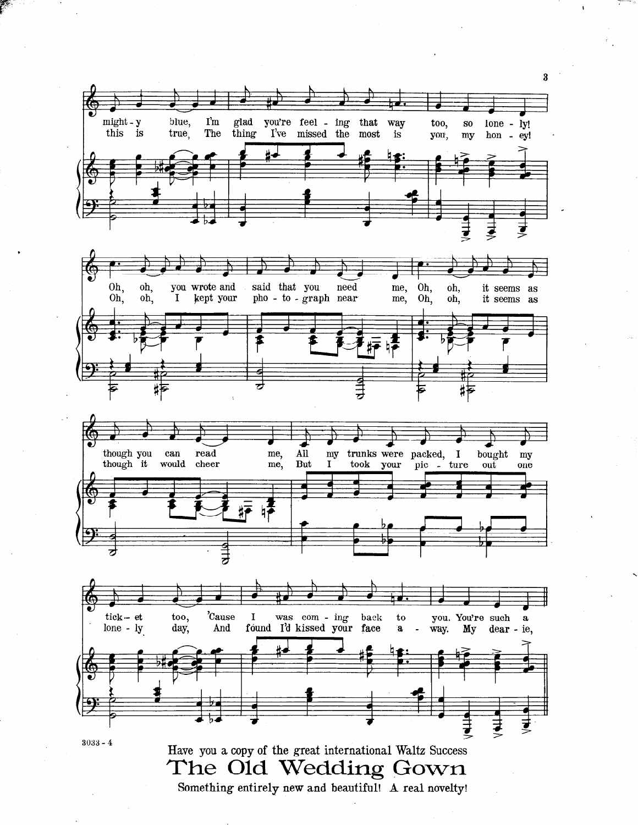

.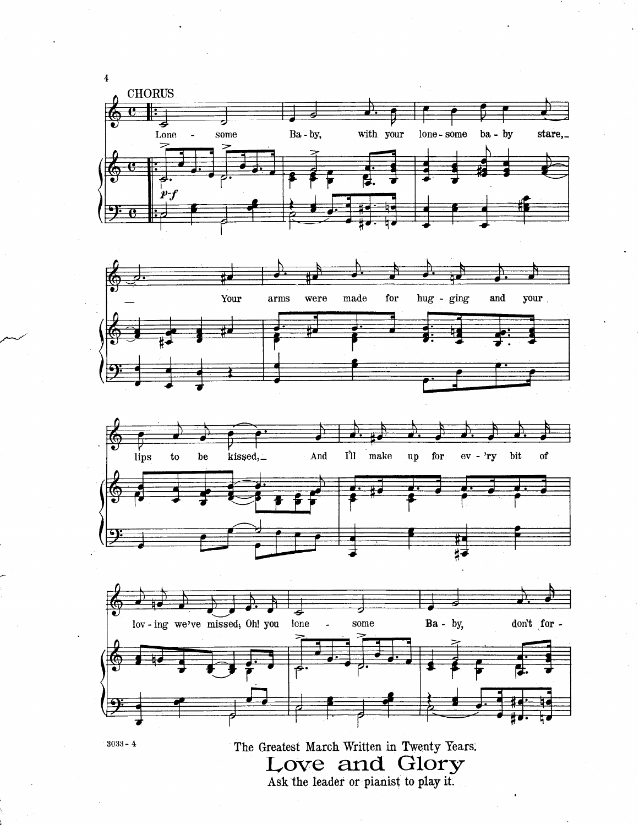

 $\sim$